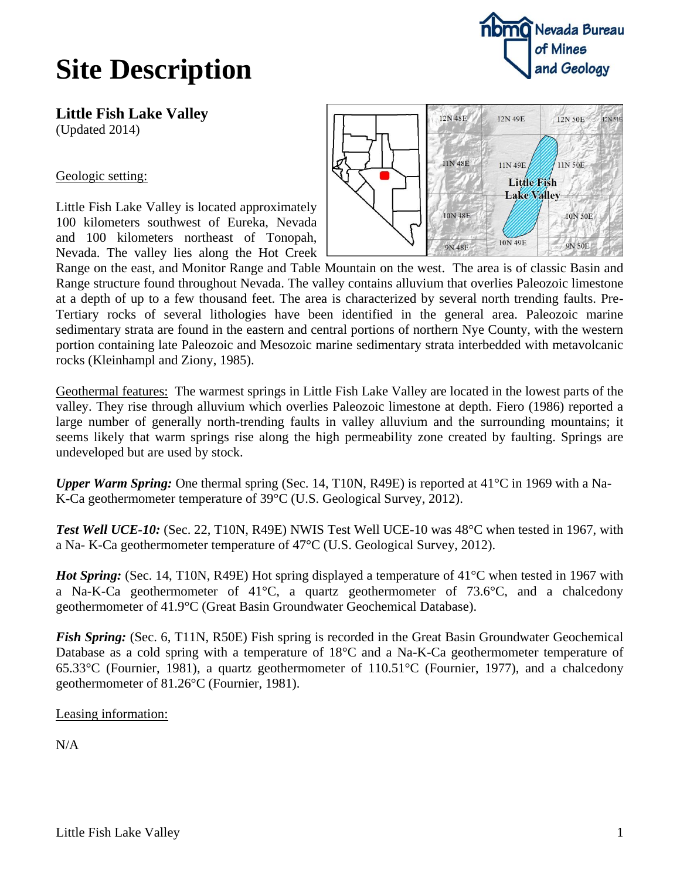## **Site Description**

Nevada Bureau of Mines and Geology

**Little Fish Lake Valley** (Updated 2014)

Geologic setting:

Little Fish Lake Valley is located approximately 100 kilometers southwest of Eureka, Nevada and 100 kilometers northeast of Tonopah, Nevada. The valley lies along the Hot Creek



Range on the east, and Monitor Range and Table Mountain on the west. The area is of classic Basin and Range structure found throughout Nevada. The valley contains alluvium that overlies Paleozoic limestone at a depth of up to a few thousand feet. The area is characterized by several north trending faults. Pre-Tertiary rocks of several lithologies have been identified in the general area. Paleozoic marine sedimentary strata are found in the eastern and central portions of northern Nye County, with the western portion containing late Paleozoic and Mesozoic marine sedimentary strata interbedded with metavolcanic rocks (Kleinhampl and Ziony, 1985).

Geothermal features: The warmest springs in Little Fish Lake Valley are located in the lowest parts of the valley. They rise through alluvium which overlies Paleozoic limestone at depth. Fiero (1986) reported a large number of generally north-trending faults in valley alluvium and the surrounding mountains; it seems likely that warm springs rise along the high permeability zone created by faulting. Springs are undeveloped but are used by stock.

*Upper Warm Spring:* One thermal spring (Sec. 14, T10N, R49E) is reported at 41°C in 1969 with a Na-K-Ca geothermometer temperature of 39°C (U.S. Geological Survey, 2012).

*Test Well UCE-10:* (Sec. 22, T10N, R49E) NWIS Test Well UCE-10 was 48°C when tested in 1967, with a Na- K-Ca geothermometer temperature of 47°C (U.S. Geological Survey, 2012).

*Hot Spring:* (Sec. 14, T10N, R49E) Hot spring displayed a temperature of 41°C when tested in 1967 with a Na-K-Ca geothermometer of 41°C, a quartz geothermometer of 73.6°C, and a chalcedony geothermometer of 41.9°C (Great Basin Groundwater Geochemical Database).

*Fish Spring:* (Sec. 6, T11N, R50E) Fish spring is recorded in the Great Basin Groundwater Geochemical Database as a cold spring with a temperature of 18°C and a Na-K-Ca geothermometer temperature of 65.33°C (Fournier, 1981), a quartz geothermometer of 110.51°C (Fournier, 1977), and a chalcedony geothermometer of 81.26°C (Fournier, 1981).

Leasing information:

N/A